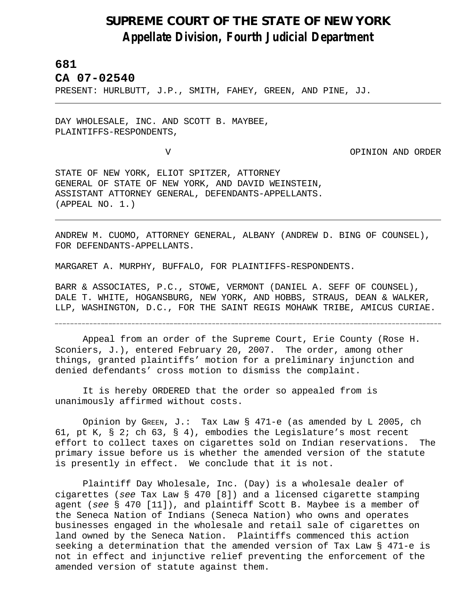## **SUPREME COURT OF THE STATE OF NEW YORK** *Appellate Division, Fourth Judicial Department*

## **681**

L,

**CA 07-02540** 

PRESENT: HURLBUTT, J.P., SMITH, FAHEY, GREEN, AND PINE, JJ.

DAY WHOLESALE, INC. AND SCOTT B. MAYBEE, PLAINTIFFS-RESPONDENTS,

V OPINION AND ORDER

STATE OF NEW YORK, ELIOT SPITZER, ATTORNEY GENERAL OF STATE OF NEW YORK, AND DAVID WEINSTEIN, ASSISTANT ATTORNEY GENERAL, DEFENDANTS-APPELLANTS. (APPEAL NO. 1.)

ANDREW M. CUOMO, ATTORNEY GENERAL, ALBANY (ANDREW D. BING OF COUNSEL), FOR DEFENDANTS-APPELLANTS.

MARGARET A. MURPHY, BUFFALO, FOR PLAINTIFFS-RESPONDENTS.

BARR & ASSOCIATES, P.C., STOWE, VERMONT (DANIEL A. SEFF OF COUNSEL), DALE T. WHITE, HOGANSBURG, NEW YORK, AND HOBBS, STRAUS, DEAN & WALKER, LLP, WASHINGTON, D.C., FOR THE SAINT REGIS MOHAWK TRIBE, AMICUS CURIAE.

Appeal from an order of the Supreme Court, Erie County (Rose H. Sconiers, J.), entered February 20, 2007. The order, among other things, granted plaintiffs' motion for a preliminary injunction and denied defendants' cross motion to dismiss the complaint.

It is hereby ORDERED that the order so appealed from is unanimously affirmed without costs.

Opinion by GREEN, J.: Tax Law § 471-e (as amended by L 2005, ch 61, pt K, § 2; ch 63, § 4), embodies the Legislature's most recent effort to collect taxes on cigarettes sold on Indian reservations. The primary issue before us is whether the amended version of the statute is presently in effect. We conclude that it is not.

Plaintiff Day Wholesale, Inc. (Day) is a wholesale dealer of cigarettes (*see* Tax Law § 470 [8]) and a licensed cigarette stamping agent (*see* § 470 [11]), and plaintiff Scott B. Maybee is a member of the Seneca Nation of Indians (Seneca Nation) who owns and operates businesses engaged in the wholesale and retail sale of cigarettes on land owned by the Seneca Nation. Plaintiffs commenced this action seeking a determination that the amended version of Tax Law § 471-e is not in effect and injunctive relief preventing the enforcement of the amended version of statute against them.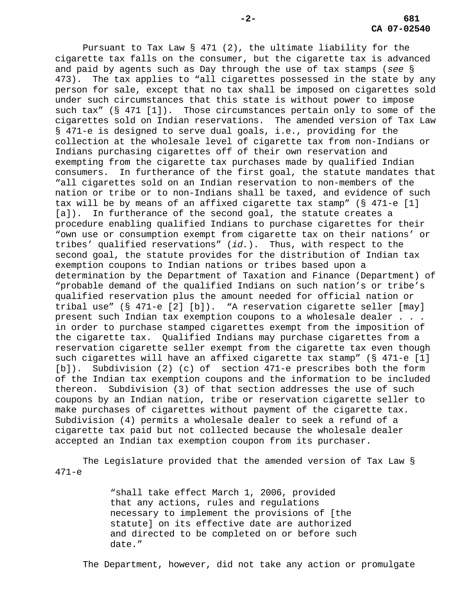Pursuant to Tax Law § 471 (2), the ultimate liability for the cigarette tax falls on the consumer, but the cigarette tax is advanced and paid by agents such as Day through the use of tax stamps (*see* § 473). The tax applies to "all cigarettes possessed in the state by any person for sale, except that no tax shall be imposed on cigarettes sold under such circumstances that this state is without power to impose such tax" (§ 471 [1]). Those circumstances pertain only to some of the cigarettes sold on Indian reservations. The amended version of Tax Law § 471-e is designed to serve dual goals, i.e., providing for the collection at the wholesale level of cigarette tax from non-Indians or Indians purchasing cigarettes off of their own reservation and exempting from the cigarette tax purchases made by qualified Indian consumers. In furtherance of the first goal, the statute mandates that "all cigarettes sold on an Indian reservation to non-members of the nation or tribe or to non-Indians shall be taxed, and evidence of such tax will be by means of an affixed cigarette tax stamp" (§ 471-e [1] [a]). In furtherance of the second goal, the statute creates a procedure enabling qualified Indians to purchase cigarettes for their "own use or consumption exempt from cigarette tax on their nations' or tribes' qualified reservations" (*id.*). Thus, with respect to the second goal, the statute provides for the distribution of Indian tax exemption coupons to Indian nations or tribes based upon a determination by the Department of Taxation and Finance (Department) of "probable demand of the qualified Indians on such nation's or tribe's qualified reservation plus the amount needed for official nation or tribal use" (§ 471-e [2] [b]). "A reservation cigarette seller [may] present such Indian tax exemption coupons to a wholesale dealer . . . in order to purchase stamped cigarettes exempt from the imposition of the cigarette tax. Qualified Indians may purchase cigarettes from a reservation cigarette seller exempt from the cigarette tax even though such cigarettes will have an affixed cigarette tax stamp" (§ 471-e [1] [b]). Subdivision (2) (c) of section 471-e prescribes both the form of the Indian tax exemption coupons and the information to be included thereon. Subdivision (3) of that section addresses the use of such coupons by an Indian nation, tribe or reservation cigarette seller to make purchases of cigarettes without payment of the cigarette tax. Subdivision (4) permits a wholesale dealer to seek a refund of a cigarette tax paid but not collected because the wholesale dealer accepted an Indian tax exemption coupon from its purchaser.

The Legislature provided that the amended version of Tax Law § 471-e

> "shall take effect March 1, 2006, provided that any actions, rules and regulations necessary to implement the provisions of [the statute] on its effective date are authorized and directed to be completed on or before such date."

The Department, however, did not take any action or promulgate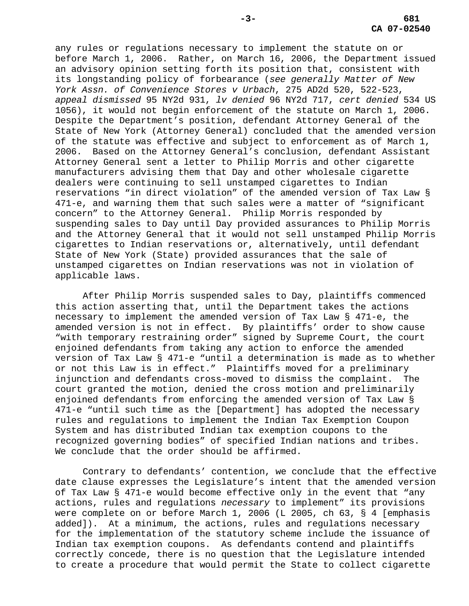any rules or regulations necessary to implement the statute on or before March 1, 2006. Rather, on March 16, 2006, the Department issued an advisory opinion setting forth its position that, consistent with its longstanding policy of forbearance (*see generally Matter of New York Assn. of Convenience Stores v Urbach*, 275 AD2d 520, 522-523, *appeal dismissed* 95 NY2d 931, *lv denied* 96 NY2d 717, *cert denied* 534 US 1056), it would not begin enforcement of the statute on March 1, 2006. Despite the Department's position, defendant Attorney General of the State of New York (Attorney General) concluded that the amended version of the statute was effective and subject to enforcement as of March 1, 2006. Based on the Attorney General's conclusion, defendant Assistant Attorney General sent a letter to Philip Morris and other cigarette manufacturers advising them that Day and other wholesale cigarette dealers were continuing to sell unstamped cigarettes to Indian reservations "in direct violation" of the amended version of Tax Law § 471-e, and warning them that such sales were a matter of "significant concern" to the Attorney General. Philip Morris responded by suspending sales to Day until Day provided assurances to Philip Morris and the Attorney General that it would not sell unstamped Philip Morris cigarettes to Indian reservations or, alternatively, until defendant State of New York (State) provided assurances that the sale of unstamped cigarettes on Indian reservations was not in violation of applicable laws.

After Philip Morris suspended sales to Day, plaintiffs commenced this action asserting that, until the Department takes the actions necessary to implement the amended version of Tax Law § 471-e, the amended version is not in effect. By plaintiffs' order to show cause "with temporary restraining order" signed by Supreme Court, the court enjoined defendants from taking any action to enforce the amended version of Tax Law § 471-e "until a determination is made as to whether or not this Law is in effect." Plaintiffs moved for a preliminary injunction and defendants cross-moved to dismiss the complaint. The court granted the motion, denied the cross motion and preliminarily enjoined defendants from enforcing the amended version of Tax Law § 471-e "until such time as the [Department] has adopted the necessary rules and regulations to implement the Indian Tax Exemption Coupon System and has distributed Indian tax exemption coupons to the recognized governing bodies" of specified Indian nations and tribes. We conclude that the order should be affirmed.

Contrary to defendants' contention, we conclude that the effective date clause expresses the Legislature's intent that the amended version of Tax Law § 471-e would become effective only in the event that "any actions, rules and regulations *necessary* to implement" its provisions were complete on or before March 1, 2006 (L 2005, ch 63, § 4 [emphasis added]). At a minimum, the actions, rules and regulations necessary for the implementation of the statutory scheme include the issuance of Indian tax exemption coupons. As defendants contend and plaintiffs correctly concede, there is no question that the Legislature intended to create a procedure that would permit the State to collect cigarette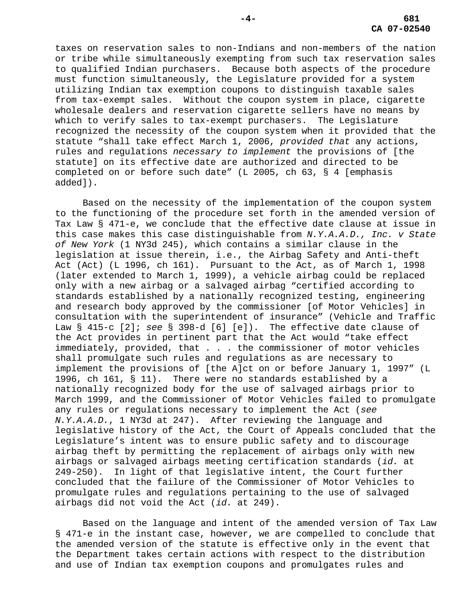taxes on reservation sales to non-Indians and non-members of the nation or tribe while simultaneously exempting from such tax reservation sales to qualified Indian purchasers. Because both aspects of the procedure must function simultaneously, the Legislature provided for a system utilizing Indian tax exemption coupons to distinguish taxable sales from tax-exempt sales. Without the coupon system in place, cigarette wholesale dealers and reservation cigarette sellers have no means by which to verify sales to tax-exempt purchasers. The Legislature recognized the necessity of the coupon system when it provided that the statute "shall take effect March 1, 2006, *provided that* any actions, rules and regulations *necessary to implement* the provisions of [the statute] on its effective date are authorized and directed to be completed on or before such date" (L 2005, ch 63, § 4 [emphasis added]).

Based on the necessity of the implementation of the coupon system to the functioning of the procedure set forth in the amended version of Tax Law § 471-e, we conclude that the effective date clause at issue in this case makes this case distinguishable from *N.Y.A.A.D., Inc. v State of New York* (1 NY3d 245), which contains a similar clause in the legislation at issue therein, i.e., the Airbag Safety and Anti-theft Act (Act) (L 1996, ch 161). Pursuant to the Act, as of March 1, 1998 (later extended to March 1, 1999), a vehicle airbag could be replaced only with a new airbag or a salvaged airbag "certified according to standards established by a nationally recognized testing, engineering and research body approved by the commissioner [of Motor Vehicles] in consultation with the superintendent of insurance" (Vehicle and Traffic Law § 415-c [2]; *see* § 398-d [6] [e]). The effective date clause of the Act provides in pertinent part that the Act would "take effect immediately, provided, that . . . the commissioner of motor vehicles shall promulgate such rules and regulations as are necessary to implement the provisions of [the A]ct on or before January 1, 1997" (L 1996, ch 161, § 11). There were no standards established by a nationally recognized body for the use of salvaged airbags prior to March 1999, and the Commissioner of Motor Vehicles failed to promulgate any rules or regulations necessary to implement the Act (*see N.Y.A.A.D.*, 1 NY3d at 247). After reviewing the language and legislative history of the Act, the Court of Appeals concluded that the Legislature's intent was to ensure public safety and to discourage airbag theft by permitting the replacement of airbags only with new airbags or salvaged airbags meeting certification standards (*id.* at 249-250). In light of that legislative intent, the Court further concluded that the failure of the Commissioner of Motor Vehicles to promulgate rules and regulations pertaining to the use of salvaged airbags did not void the Act (*id.* at 249).

Based on the language and intent of the amended version of Tax Law § 471-e in the instant case, however, we are compelled to conclude that the amended version of the statute is effective only in the event that the Department takes certain actions with respect to the distribution and use of Indian tax exemption coupons and promulgates rules and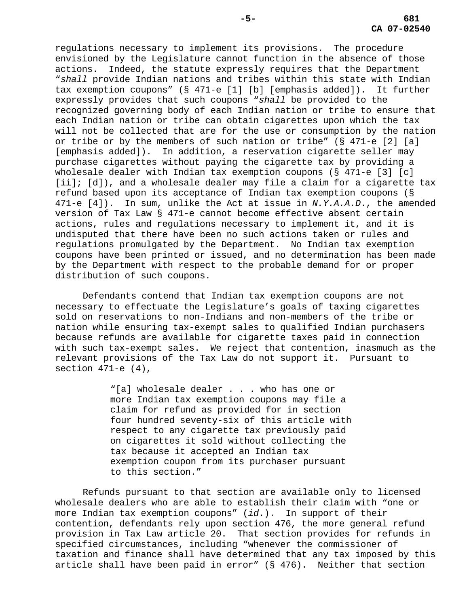regulations necessary to implement its provisions. The procedure envisioned by the Legislature cannot function in the absence of those actions. Indeed, the statute expressly requires that the Department "*shall* provide Indian nations and tribes within this state with Indian tax exemption coupons" (§ 471-e [1] [b] [emphasis added]). It further expressly provides that such coupons "*shall* be provided to the recognized governing body of each Indian nation or tribe to ensure that each Indian nation or tribe can obtain cigarettes upon which the tax will not be collected that are for the use or consumption by the nation or tribe or by the members of such nation or tribe" (§ 471-e [2] [a] [emphasis added]). In addition, a reservation cigarette seller may purchase cigarettes without paying the cigarette tax by providing a wholesale dealer with Indian tax exemption coupons (§ 471-e [3] [c] [ii]; [d]), and a wholesale dealer may file a claim for a cigarette tax refund based upon its acceptance of Indian tax exemption coupons (§ 471-e [4]). In sum, unlike the Act at issue in *N.Y.A.A.D*., the amended version of Tax Law § 471-e cannot become effective absent certain actions, rules and regulations necessary to implement it, and it is undisputed that there have been no such actions taken or rules and regulations promulgated by the Department. No Indian tax exemption coupons have been printed or issued, and no determination has been made by the Department with respect to the probable demand for or proper distribution of such coupons.

Defendants contend that Indian tax exemption coupons are not necessary to effectuate the Legislature's goals of taxing cigarettes sold on reservations to non-Indians and non-members of the tribe or nation while ensuring tax-exempt sales to qualified Indian purchasers because refunds are available for cigarette taxes paid in connection with such tax-exempt sales. We reject that contention, inasmuch as the relevant provisions of the Tax Law do not support it. Pursuant to section  $471-e(4)$ ,

> "[a] wholesale dealer . . . who has one or more Indian tax exemption coupons may file a claim for refund as provided for in section four hundred seventy-six of this article with respect to any cigarette tax previously paid on cigarettes it sold without collecting the tax because it accepted an Indian tax exemption coupon from its purchaser pursuant to this section."

Refunds pursuant to that section are available only to licensed wholesale dealers who are able to establish their claim with "one or more Indian tax exemption coupons" (*id*.). In support of their contention, defendants rely upon section 476, the more general refund provision in Tax Law article 20. That section provides for refunds in specified circumstances, including "whenever the commissioner of taxation and finance shall have determined that any tax imposed by this article shall have been paid in error" (§ 476). Neither that section